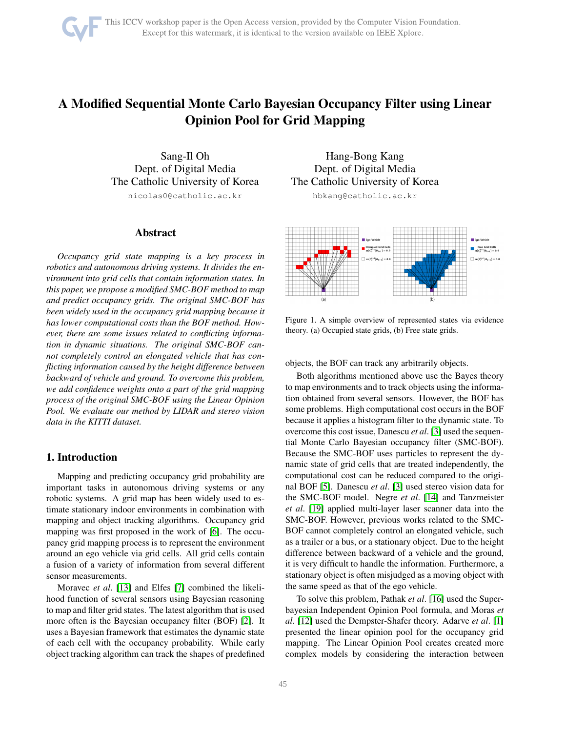# A Modified Sequential Monte Carlo Bayesian Occupancy Filter using Linear Opinion Pool for Grid Mapping

Sang-Il Oh Dept. of Digital Media The Catholic University of Korea nicolas0@catholic.ac.kr

#### Abstract

*Occupancy grid state mapping is a key process in robotics and autonomous driving systems. It divides the environment into grid cells that contain information states. In this paper, we propose a modified SMC-BOF method to map and predict occupancy grids. The original SMC-BOF has been widely used in the occupancy grid mapping because it has lower computational costs than the BOF method. However, there are some issues related to conflicting information in dynamic situations. The original SMC-BOF cannot completely control an elongated vehicle that has conflicting information caused by the height difference between backward of vehicle and ground. To overcome this problem, we add confidence weights onto a part of the grid mapping process of the original SMC-BOF using the Linear Opinion Pool. We evaluate our method by LIDAR and stereo vision data in the KITTI dataset.*

# 1. Introduction

Mapping and predicting occupancy grid probability are important tasks in autonomous driving systems or any robotic systems. A grid map has been widely used to estimate stationary indoor environments in combination with mapping and object tracking algorithms. Occupancy grid mapping was first proposed in the work of [\[6\]](#page-5-0). The occupancy grid mapping process is to represent the environment around an ego vehicle via grid cells. All grid cells contain a fusion of a variety of information from several different sensor measurements.

Moravec *et al*. [\[13\]](#page-5-1) and Elfes [\[7\]](#page-5-2) combined the likelihood function of several sensors using Bayesian reasoning to map and filter grid states. The latest algorithm that is used more often is the Bayesian occupancy filter (BOF) [\[2\]](#page-5-3). It uses a Bayesian framework that estimates the dynamic state of each cell with the occupancy probability. While early object tracking algorithm can track the shapes of predefined

Hang-Bong Kang Dept. of Digital Media The Catholic University of Korea

hbkang@catholic.ac.kr



<span id="page-0-0"></span>Figure 1. A simple overview of represented states via evidence theory. (a) Occupied state grids, (b) Free state grids.

objects, the BOF can track any arbitrarily objects.

Both algorithms mentioned above use the Bayes theory to map environments and to track objects using the information obtained from several sensors. However, the BOF has some problems. High computational cost occurs in the BOF because it applies a histogram filter to the dynamic state. To overcome this cost issue, Danescu *et al*. [\[3\]](#page-5-4) used the sequential Monte Carlo Bayesian occupancy filter (SMC-BOF). Because the SMC-BOF uses particles to represent the dynamic state of grid cells that are treated independently, the computational cost can be reduced compared to the original BOF [\[5\]](#page-5-5). Danescu *et al*. [\[3\]](#page-5-4) used stereo vision data for the SMC-BOF model. Negre *et al*. [\[14\]](#page-5-6) and Tanzmeister *et al*. [\[19\]](#page-5-7) applied multi-layer laser scanner data into the SMC-BOF. However, previous works related to the SMC-BOF cannot completely control an elongated vehicle, such as a trailer or a bus, or a stationary object. Due to the height difference between backward of a vehicle and the ground, it is very difficult to handle the information. Furthermore, a stationary object is often misjudged as a moving object with the same speed as that of the ego vehicle.

To solve this problem, Pathak *et al*. [\[16\]](#page-5-8) used the Superbayesian Independent Opinion Pool formula, and Moras *et al*. [\[12\]](#page-5-9) used the Dempster-Shafer theory. Adarve *et al*. [\[1\]](#page-5-10) presented the linear opinion pool for the occupancy grid mapping. The Linear Opinion Pool creates created more complex models by considering the interaction between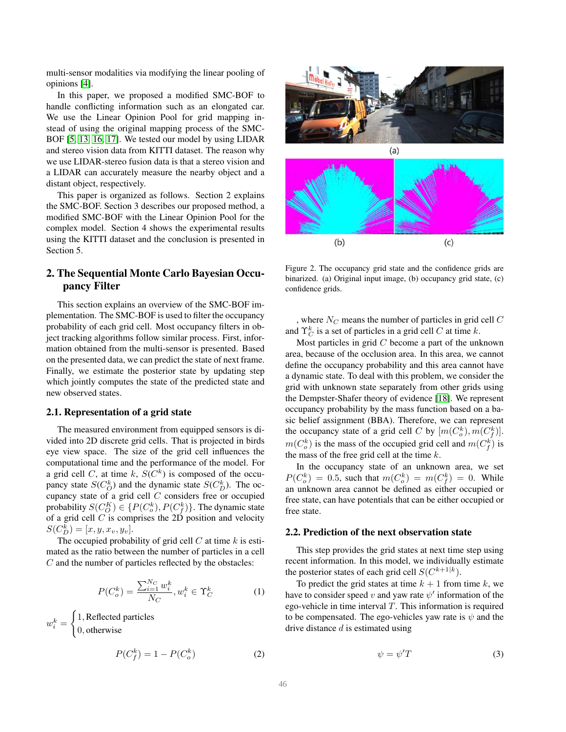multi-sensor modalities via modifying the linear pooling of opinions [\[4\]](#page-5-11).

In this paper, we proposed a modified SMC-BOF to handle conflicting information such as an elongated car. We use the Linear Opinion Pool for grid mapping instead of using the original mapping process of the SMC-BOF [\[5,](#page-5-5) [13,](#page-5-1) [16,](#page-5-8) [17\]](#page-5-12). We tested our model by using LIDAR and stereo vision data from KITTI dataset. The reason why we use LIDAR-stereo fusion data is that a stereo vision and a LIDAR can accurately measure the nearby object and a distant object, respectively.

This paper is organized as follows. Section 2 explains the SMC-BOF. Section 3 describes our proposed method, a modified SMC-BOF with the Linear Opinion Pool for the complex model. Section 4 shows the experimental results using the KITTI dataset and the conclusion is presented in Section 5.

# 2. The Sequential Monte Carlo Bayesian Occupancy Filter

This section explains an overview of the SMC-BOF implementation. The SMC-BOF is used to filter the occupancy probability of each grid cell. Most occupancy filters in object tracking algorithms follow similar process. First, information obtained from the multi-sensor is presented. Based on the presented data, we can predict the state of next frame. Finally, we estimate the posterior state by updating step which jointly computes the state of the predicted state and new observed states.

#### 2.1. Representation of a grid state

The measured environment from equipped sensors is divided into 2D discrete grid cells. That is projected in birds eye view space. The size of the grid cell influences the computational time and the performance of the model. For a grid cell C, at time k,  $S(C<sup>k</sup>)$  is composed of the occupancy state  $S(C_O^k)$  and the dynamic state  $S(C_D^k)$ . The occupancy state of a grid cell C considers free or occupied probability  $S(C_O^K) \in \{P(C_o^k), P(C_f^k)\}$ . The dynamic state of a grid cell  $C$  is comprises the 2D position and velocity  $S(C_D^k) = [x, y, x_v, y_v].$ 

The occupied probability of grid cell  $C$  at time  $k$  is estimated as the ratio between the number of particles in a cell  $C$  and the number of particles reflected by the obstacles:

$$
P(C_o^k) = \frac{\sum_{i=1}^{N_C} w_i^k}{N_C}, w_i^k \in \Upsilon_C^k
$$
 (1)

 $w_i^k =$  $\int$  1, Reflected particles 0, otherwise

$$
P(C_f^k) = 1 - P(C_o^k)
$$
 (2)



Figure 2. The occupancy grid state and the confidence grids are binarized. (a) Original input image, (b) occupancy grid state, (c) confidence grids.

<span id="page-1-0"></span>, where  $N_C$  means the number of particles in grid cell  $C$ and  $\Upsilon_C^k$  is a set of particles in a grid cell C at time k.

Most particles in grid  $C$  become a part of the unknown area, because of the occlusion area. In this area, we cannot define the occupancy probability and this area cannot have a dynamic state. To deal with this problem, we consider the grid with unknown state separately from other grids using the Dempster-Shafer theory of evidence [\[18\]](#page-5-13). We represent occupancy probability by the mass function based on a basic belief assignment (BBA). Therefore, we can represent the occupancy state of a grid cell C by  $[m(C_o^k), m(C_f^k)]$ .  $m(C_o^k)$  is the mass of the occupied grid cell and  $m(C_f^k)$  is the mass of the free grid cell at the time  $k$ .

In the occupancy state of an unknown area, we set  $P(C_o^k) = 0.5$ , such that  $m(C_o^k) = m(C_f^k) = 0$ . While an unknown area cannot be defined as either occupied or free state, can have potentials that can be either occupied or free state.

#### 2.2. Prediction of the next observation state

This step provides the grid states at next time step using recent information. In this model, we individually estimate the posterior states of each grid cell  $S(C^{k+1|k})$ .

To predict the grid states at time  $k + 1$  from time k, we have to consider speed v and yaw rate  $\psi'$  information of the ego-vehicle in time interval  $T$ . This information is required to be compensated. The ego-vehicles yaw rate is  $\psi$  and the drive distance  $d$  is estimated using

$$
\psi = \psi' T \tag{3}
$$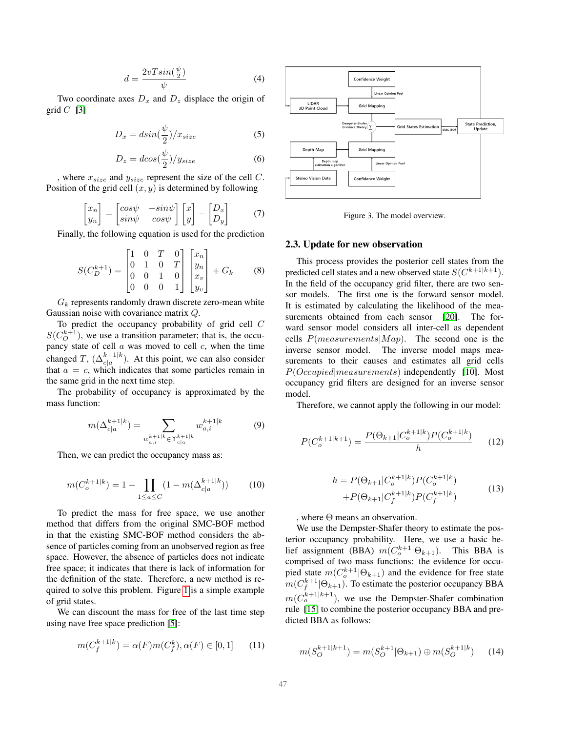$$
d = \frac{2vT\sin(\frac{\psi}{2})}{\psi} \tag{4}
$$

Two coordinate axes  $D_x$  and  $D_z$  displace the origin of grid  $C$  [\[3\]](#page-5-4)

$$
D_x = dsin(\frac{\psi}{2})/x_{size}
$$
 (5)

$$
D_z = d\cos(\frac{\psi}{2})/y_{size} \tag{6}
$$

, where  $x_{size}$  and  $y_{size}$  represent the size of the cell  $C$ . Position of the grid cell  $(x, y)$  is determined by following

$$
\begin{bmatrix} x_n \\ y_n \end{bmatrix} = \begin{bmatrix} \cos\psi & -\sin\psi \\ \sin\psi & \cos\psi \end{bmatrix} \begin{bmatrix} x \\ y \end{bmatrix} - \begin{bmatrix} D_x \\ D_y \end{bmatrix} \tag{7}
$$

Finally, the following equation is used for the prediction

$$
S(C_D^{k+1}) = \begin{bmatrix} 1 & 0 & T & 0 \\ 0 & 1 & 0 & T \\ 0 & 0 & 1 & 0 \\ 0 & 0 & 0 & 1 \end{bmatrix} \begin{bmatrix} x_n \\ y_n \\ x_v \\ y_v \end{bmatrix} + G_k \qquad (8)
$$

 $G_k$  represents randomly drawn discrete zero-mean white Gaussian noise with covariance matrix Q.

To predict the occupancy probability of grid cell C  $S(C_O^{k+1})$ , we use a transition parameter; that is, the occupancy state of cell  $a$  was moved to cell  $c$ , when the time changed T,  $(\Delta_{c|a}^{k+1|k})$ . At this point, we can also consider that  $a = c$ , which indicates that some particles remain in the same grid in the next time step.

The probability of occupancy is approximated by the mass function:

$$
m(\Delta_{c|a}^{k+1|k}) = \sum_{\substack{w_{a,i}^{k+1|k} \in \Upsilon_{c|a}^{k+1|k}}} w_{a,i}^{k+1|k} \tag{9}
$$

Then, we can predict the occupancy mass as:

$$
m(C_o^{k+1|k}) = 1 - \prod_{1 \le a \le C} (1 - m(\Delta_{c|a}^{k+1|k})) \tag{10}
$$

To predict the mass for free space, we use another method that differs from the original SMC-BOF method in that the existing SMC-BOF method considers the absence of particles coming from an unobserved region as free space. However, the absence of particles does not indicate free space; it indicates that there is lack of information for the definition of the state. Therefore, a new method is required to solve this problem. Figure [1](#page-0-0) is a simple example of grid states.

We can discount the mass for free of the last time step using nave free space prediction [\[5\]](#page-5-5):

$$
m(C_f^{k+1|k}) = \alpha(F)m(C_f^k), \alpha(F) \in [0, 1]
$$
 (11)



<span id="page-2-0"></span>Figure 3. The model overview.

#### 2.3. Update for new observation

This process provides the posterior cell states from the predicted cell states and a new observed state  $S(C^{k+1|k+1})$ . In the field of the occupancy grid filter, there are two sensor models. The first one is the forward sensor model. It is estimated by calculating the likelihood of the mea-surements obtained from each sensor [\[20\]](#page-6-0). The forward sensor model considers all inter-cell as dependent cells  $P(measurements | Map)$ . The second one is the inverse sensor model. The inverse model maps measurements to their causes and estimates all grid cells P(Occupied|measurements) independently [\[10\]](#page-5-14). Most occupancy grid filters are designed for an inverse sensor model.

Therefore, we cannot apply the following in our model:

$$
P(C_o^{k+1|k+1}) = \frac{P(\Theta_{k+1}|C_o^{k+1|k})P(C_o^{k+1|k})}{h} \tag{12}
$$

$$
h = P(\Theta_{k+1}|C_o^{k+1|k})P(C_o^{k+1|k}) + P(\Theta_{k+1}|C_f^{k+1|k})P(C_f^{k+1|k})
$$
\n(13)

, where Θ means an observation.

We use the Dempster-Shafer theory to estimate the posterior occupancy probability. Here, we use a basic belief assignment (BBA)  $m(C_o^{k+1} | \Theta_{k+1})$ . This BBA is comprised of two mass functions: the evidence for occupied state  $m(C_o^{k+1} | \Theta_{k+1})$  and the evidence for free state  $m(C_f^{k+1} | \Theta_{k+1})$ . To estimate the posterior occupancy BBA  $m(C_o^{k+1|k+1})$ , we use the Dempster-Shafer combination rule [\[15\]](#page-5-15) to combine the posterior occupancy BBA and predicted BBA as follows:

$$
n(S_O^{k+1|k+1}) = m(S_O^{k+1}|\Theta_{k+1}) \oplus m(S_O^{k+1|k}) \qquad (14)
$$

 $\gamma$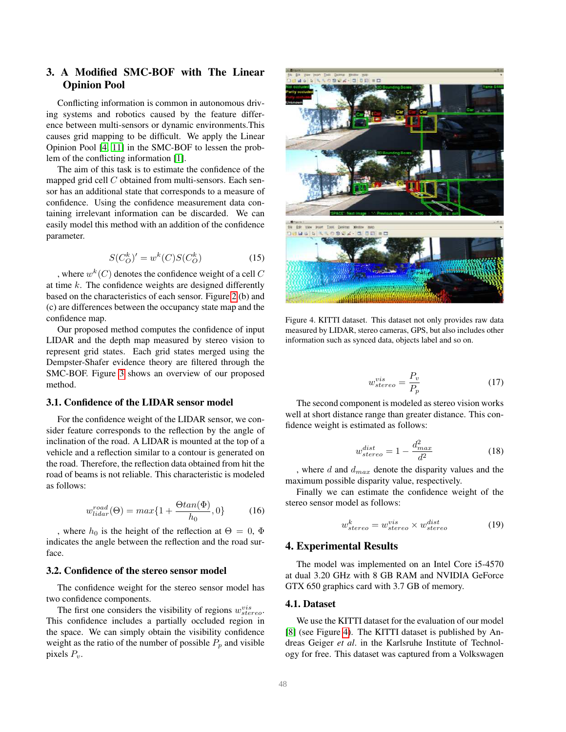# 3. A Modified SMC-BOF with The Linear Opinion Pool

Conflicting information is common in autonomous driving systems and robotics caused by the feature difference between multi-sensors or dynamic environments.This causes grid mapping to be difficult. We apply the Linear Opinion Pool [\[4,](#page-5-11) [11\]](#page-5-16) in the SMC-BOF to lessen the problem of the conflicting information [\[1\]](#page-5-10).

The aim of this task is to estimate the confidence of the mapped grid cell  $C$  obtained from multi-sensors. Each sensor has an additional state that corresponds to a measure of confidence. Using the confidence measurement data containing irrelevant information can be discarded. We can easily model this method with an addition of the confidence parameter.

$$
S(C_O^k)' = w^k(C)S(C_O^k)
$$
\n<sup>(15)</sup>

, where  $w^k(C)$  denotes the confidence weight of a cell  $C$ at time  $k$ . The confidence weights are designed differently based on the characteristics of each sensor. Figure [2](#page-1-0) (b) and (c) are differences between the occupancy state map and the confidence map.

Our proposed method computes the confidence of input LIDAR and the depth map measured by stereo vision to represent grid states. Each grid states merged using the Dempster-Shafer evidence theory are filtered through the SMC-BOF. Figure [3](#page-2-0) shows an overview of our proposed method.

#### 3.1. Confidence of the LIDAR sensor model

For the confidence weight of the LIDAR sensor, we consider feature corresponds to the reflection by the angle of inclination of the road. A LIDAR is mounted at the top of a vehicle and a reflection similar to a contour is generated on the road. Therefore, the reflection data obtained from hit the road of beams is not reliable. This characteristic is modeled as follows:

$$
w_{lidar}^{road}(\Theta) = max\{1 + \frac{\Theta tan(\Phi)}{h_0}, 0\}
$$
 (16)

, where  $h_0$  is the height of the reflection at  $\Theta = 0$ ,  $\Phi$ indicates the angle between the reflection and the road surface.

# 3.2. Confidence of the stereo sensor model

The confidence weight for the stereo sensor model has two confidence components.

The first one considers the visibility of regions  $w_{stereo}^{vis}$ . This confidence includes a partially occluded region in the space. We can simply obtain the visibility confidence weight as the ratio of the number of possible  $P_p$  and visible pixels  $P_v$ .



Figure 4. KITTI dataset. This dataset not only provides raw data measured by LIDAR, stereo cameras, GPS, but also includes other information such as synced data, objects label and so on.

<span id="page-3-0"></span>
$$
w_{stereo}^{vis} = \frac{P_v}{P_p} \tag{17}
$$

The second component is modeled as stereo vision works well at short distance range than greater distance. This confidence weight is estimated as follows:

$$
w_{stereo}^{dist} = 1 - \frac{d_{max}^2}{d^2}
$$
 (18)

, where d and  $d_{max}$  denote the disparity values and the maximum possible disparity value, respectively.

Finally we can estimate the confidence weight of the stereo sensor model as follows:

$$
w_{stereo}^k = w_{stereo}^{vis} \times w_{stereo}^{dist}
$$
 (19)

#### 4. Experimental Results

The model was implemented on an Intel Core i5-4570 at dual 3.20 GHz with 8 GB RAM and NVIDIA GeForce GTX 650 graphics card with 3.7 GB of memory.

#### 4.1. Dataset

We use the KITTI dataset for the evaluation of our model [\[8\]](#page-5-17) (see Figure [4\)](#page-3-0). The KITTI dataset is published by Andreas Geiger *et al*. in the Karlsruhe Institute of Technology for free. This dataset was captured from a Volkswagen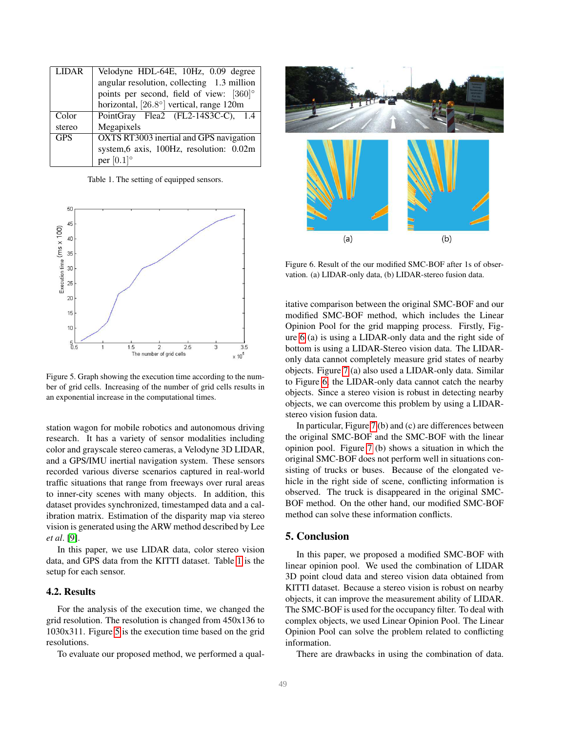| <b>LIDAR</b> | Velodyne HDL-64E, 10Hz, 0.09 degree             |
|--------------|-------------------------------------------------|
|              | angular resolution, collecting 1.3 million      |
|              | points per second, field of view: $[360]^\circ$ |
|              | horizontal, [26.8°] vertical, range 120m        |
| Color        | PointGray Flea2 (FL2-14S3C-C), 1.4              |
| stereo       | Megapixels                                      |
| <b>GPS</b>   | OXTS RT3003 inertial and GPS navigation         |
|              | system, 6 axis, 100Hz, resolution: 0.02m        |
|              | per $[0.1]^\circ$                               |

<span id="page-4-0"></span>Table 1. The setting of equipped sensors.



<span id="page-4-1"></span>Figure 5. Graph showing the execution time according to the number of grid cells. Increasing of the number of grid cells results in an exponential increase in the computational times.

station wagon for mobile robotics and autonomous driving research. It has a variety of sensor modalities including color and grayscale stereo cameras, a Velodyne 3D LIDAR, and a GPS/IMU inertial navigation system. These sensors recorded various diverse scenarios captured in real-world traffic situations that range from freeways over rural areas to inner-city scenes with many objects. In addition, this dataset provides synchronized, timestamped data and a calibration matrix. Estimation of the disparity map via stereo vision is generated using the ARW method described by Lee *et al*. [\[9\]](#page-5-18).

In this paper, we use LIDAR data, color stereo vision data, and GPS data from the KITTI dataset. Table [1](#page-4-0) is the setup for each sensor.

#### 4.2. Results

For the analysis of the execution time, we changed the grid resolution. The resolution is changed from 450x136 to 1030x311. Figure [5](#page-4-1) is the execution time based on the grid resolutions.

To evaluate our proposed method, we performed a qual-



<span id="page-4-2"></span>Figure 6. Result of the our modified SMC-BOF after 1s of observation. (a) LIDAR-only data, (b) LIDAR-stereo fusion data.

itative comparison between the original SMC-BOF and our modified SMC-BOF method, which includes the Linear Opinion Pool for the grid mapping process. Firstly, Figure [6](#page-4-2) (a) is using a LIDAR-only data and the right side of bottom is using a LIDAR-Stereo vision data. The LIDARonly data cannot completely measure grid states of nearby objects. Figure [7](#page-5-19) (a) also used a LIDAR-only data. Similar to Figure [6,](#page-4-2) the LIDAR-only data cannot catch the nearby objects. Since a stereo vision is robust in detecting nearby objects, we can overcome this problem by using a LIDARstereo vision fusion data.

In particular, Figure [7](#page-5-19) (b) and (c) are differences between the original SMC-BOF and the SMC-BOF with the linear opinion pool. Figure [7](#page-5-19) (b) shows a situation in which the original SMC-BOF does not perform well in situations consisting of trucks or buses. Because of the elongated vehicle in the right side of scene, conflicting information is observed. The truck is disappeared in the original SMC-BOF method. On the other hand, our modified SMC-BOF method can solve these information conflicts.

## 5. Conclusion

In this paper, we proposed a modified SMC-BOF with linear opinion pool. We used the combination of LIDAR 3D point cloud data and stereo vision data obtained from KITTI dataset. Because a stereo vision is robust on nearby objects, it can improve the measurement ability of LIDAR. The SMC-BOF is used for the occupancy filter. To deal with complex objects, we used Linear Opinion Pool. The Linear Opinion Pool can solve the problem related to conflicting information.

There are drawbacks in using the combination of data.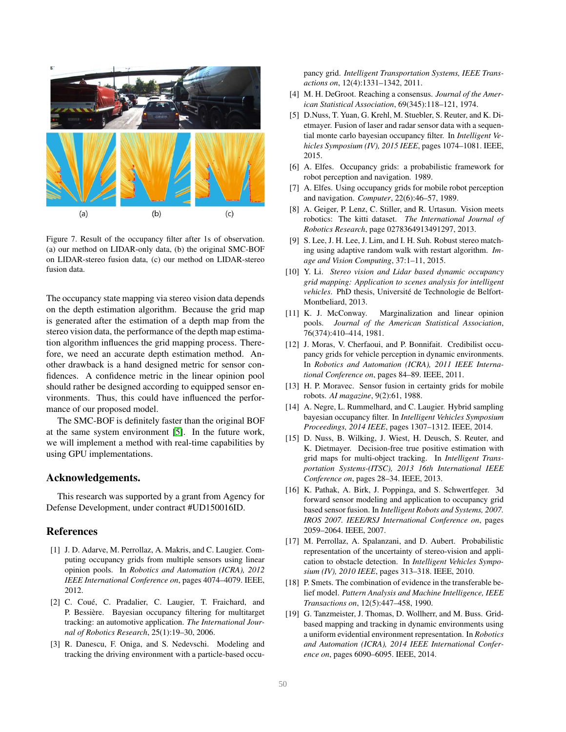

<span id="page-5-19"></span>Figure 7. Result of the occupancy filter after 1s of observation. (a) our method on LIDAR-only data, (b) the original SMC-BOF on LIDAR-stereo fusion data, (c) our method on LIDAR-stereo fusion data.

The occupancy state mapping via stereo vision data depends on the depth estimation algorithm. Because the grid map is generated after the estimation of a depth map from the stereo vision data, the performance of the depth map estimation algorithm influences the grid mapping process. Therefore, we need an accurate depth estimation method. Another drawback is a hand designed metric for sensor confidences. A confidence metric in the linear opinion pool should rather be designed according to equipped sensor environments. Thus, this could have influenced the performance of our proposed model.

The SMC-BOF is definitely faster than the original BOF at the same system environment [\[5\]](#page-5-5). In the future work, we will implement a method with real-time capabilities by using GPU implementations.

#### Acknowledgements.

This research was supported by a grant from Agency for Defense Development, under contract #UD150016ID.

### References

- <span id="page-5-10"></span>[1] J. D. Adarve, M. Perrollaz, A. Makris, and C. Laugier. Computing occupancy grids from multiple sensors using linear opinion pools. In *Robotics and Automation (ICRA), 2012 IEEE International Conference on*, pages 4074–4079. IEEE, 2012.
- <span id="page-5-3"></span>[2] C. Coué, C. Pradalier, C. Laugier, T. Fraichard, and P. Bessière. Bayesian occupancy filtering for multitarget tracking: an automotive application. *The International Journal of Robotics Research*, 25(1):19–30, 2006.
- <span id="page-5-4"></span>[3] R. Danescu, F. Oniga, and S. Nedevschi. Modeling and tracking the driving environment with a particle-based occu-

pancy grid. *Intelligent Transportation Systems, IEEE Transactions on*, 12(4):1331–1342, 2011.

- <span id="page-5-11"></span>[4] M. H. DeGroot. Reaching a consensus. *Journal of the American Statistical Association*, 69(345):118–121, 1974.
- <span id="page-5-5"></span>[5] D.Nuss, T. Yuan, G. Krehl, M. Stuebler, S. Reuter, and K. Dietmayer. Fusion of laser and radar sensor data with a sequential monte carlo bayesian occupancy filter. In *Intelligent Vehicles Symposium (IV), 2015 IEEE*, pages 1074–1081. IEEE, 2015.
- <span id="page-5-0"></span>[6] A. Elfes. Occupancy grids: a probabilistic framework for robot perception and navigation. 1989.
- <span id="page-5-2"></span>[7] A. Elfes. Using occupancy grids for mobile robot perception and navigation. *Computer*, 22(6):46–57, 1989.
- <span id="page-5-17"></span>[8] A. Geiger, P. Lenz, C. Stiller, and R. Urtasun. Vision meets robotics: The kitti dataset. *The International Journal of Robotics Research*, page 0278364913491297, 2013.
- <span id="page-5-18"></span>[9] S. Lee, J. H. Lee, J. Lim, and I. H. Suh. Robust stereo matching using adaptive random walk with restart algorithm. *Image and Vision Computing*, 37:1–11, 2015.
- <span id="page-5-14"></span>[10] Y. Li. *Stereo vision and Lidar based dynamic occupancy grid mapping: Application to scenes analysis for intelligent vehicles*. PhD thesis, Université de Technologie de Belfort-Montbeliard, 2013.
- <span id="page-5-16"></span>[11] K. J. McConway. Marginalization and linear opinion pools. *Journal of the American Statistical Association*, 76(374):410–414, 1981.
- <span id="page-5-9"></span>[12] J. Moras, V. Cherfaoui, and P. Bonnifait. Credibilist occupancy grids for vehicle perception in dynamic environments. In *Robotics and Automation (ICRA), 2011 IEEE International Conference on*, pages 84–89. IEEE, 2011.
- <span id="page-5-1"></span>[13] H. P. Moravec. Sensor fusion in certainty grids for mobile robots. *AI magazine*, 9(2):61, 1988.
- <span id="page-5-6"></span>[14] A. Negre, L. Rummelhard, and C. Laugier. Hybrid sampling bayesian occupancy filter. In *Intelligent Vehicles Symposium Proceedings, 2014 IEEE*, pages 1307–1312. IEEE, 2014.
- <span id="page-5-15"></span>[15] D. Nuss, B. Wilking, J. Wiest, H. Deusch, S. Reuter, and K. Dietmayer. Decision-free true positive estimation with grid maps for multi-object tracking. In *Intelligent Transportation Systems-(ITSC), 2013 16th International IEEE Conference on*, pages 28–34. IEEE, 2013.
- <span id="page-5-8"></span>[16] K. Pathak, A. Birk, J. Poppinga, and S. Schwertfeger. 3d forward sensor modeling and application to occupancy grid based sensor fusion. In *Intelligent Robots and Systems, 2007. IROS 2007. IEEE/RSJ International Conference on*, pages 2059–2064. IEEE, 2007.
- <span id="page-5-12"></span>[17] M. Perrollaz, A. Spalanzani, and D. Aubert. Probabilistic representation of the uncertainty of stereo-vision and application to obstacle detection. In *Intelligent Vehicles Symposium (IV), 2010 IEEE*, pages 313–318. IEEE, 2010.
- <span id="page-5-13"></span>[18] P. Smets. The combination of evidence in the transferable belief model. *Pattern Analysis and Machine Intelligence, IEEE Transactions on*, 12(5):447–458, 1990.
- <span id="page-5-7"></span>[19] G. Tanzmeister, J. Thomas, D. Wollherr, and M. Buss. Gridbased mapping and tracking in dynamic environments using a uniform evidential environment representation. In *Robotics and Automation (ICRA), 2014 IEEE International Conference on*, pages 6090–6095. IEEE, 2014.